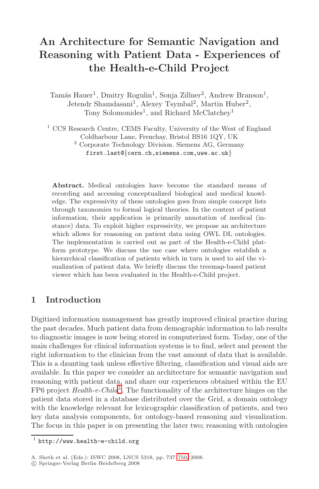# **An Architecture for Semantic Navigation and Reasoning with Patient Data - Experiences of the Health-e-Child Project**

Tamás Hauer<sup>1</sup>, Dmitry Rogulin<sup>1</sup>, Sonja Zillner<sup>2</sup>, Andrew Branson<sup>1</sup>, Jetendr Shamdasani<sup>1</sup>, Alexey Tsymbal<sup>2</sup>, Martin Huber<sup>2</sup>, Tony Solomonides<sup>1</sup>, and Richard McClatchey<sup>1</sup>

<sup>1</sup> CCS Research Centre, CEMS Faculty, University of the West of England Coldharbour Lane, Frenchay, Bristol BS16 1QY, UK <sup>2</sup> Corporate Technology Division. Siemens AG, Germany first.last@{cern.ch,siemens.com,uwe.ac.uk}

**Abstract.** Medical ontologies have become the standard means of recording and accessing conceptualized biological and medical knowledge. The expressivity of these ontologies goes from simple concept lists through taxonomies to formal logical theories. In the context of patient information, their application is primarily annotation of medical (instance) data. To exploit higher expressivity, we propose an architecture which allows for reasoning on patient data using OWL DL ontologies. The implementation is carried out as part of the Health-e-Child platform prototype. We discuss the use case where ontologies establish a hierarchical classification of patients which in turn is used to aid the visualization of patient data. We briefly discuss the treemap-based patient viewer which has been evaluated in the Health-e-Child project.

# **1 Introduction**

<span id="page-0-0"></span>Digitize[d](#page-0-0) information management has greatly improved clinical practice during the past decades. Much patient data from demographic information to lab results to diagnostic images is now being stored in computerized form. Today, one of the main challenges for clinical information systems is to find, select and present the right information to the clinician from the vast amount of data that is available. This is a daunting task unless effective filtering, classification and visual aids are available. In this paper we consider an architecture for semantic navigation and reasoning with patient data, and share our experiences obtained within the EU FP6 project  $Health-e-Child<sup>1</sup>$ [.](#page-13-0) [T](#page-13-0)he functionality of the architecture hinges on the patient data stored in a database distributed over the Grid, a domain ontology with the knowledge relevant for lexicographic classification of patients, and two key data analysis components, for ontology-based reasoning and visualization. The focus in this paper is on presenting the later two; reasoning with ontologies

<sup>1</sup> http://www.health-e-child.org

A. Sheth et al. (Eds.): ISWC 2008, LNCS 5318, pp. 737–750, 2008.

<sup>-</sup>c Springer-Verlag Berlin Heidelberg 2008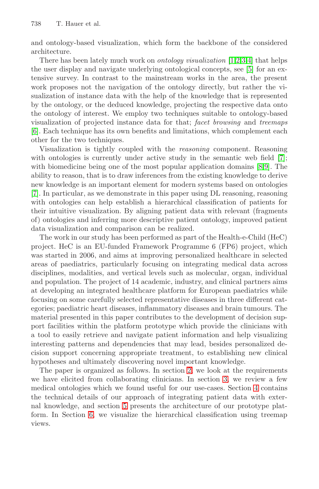and ontology-based visualization, which form the backbone of the considered architecture.

There has been lately much work on *ontology visualization* [1,2,3,4] that helps the user display and navigate underlying ontological concepts, see [5] for an extensive survey. In contrast to the mainstream works in the area, the present work proposes not the navigation of the ontology direct[ly,](#page-12-0) but rather the visualization of instance data with the help of the k[no](#page-12-1)[wl](#page-12-2)edge that is represented by the ontology, or the deduced knowledge, projecting the respective data onto the ontology of interest. We employ two techniques suitable to ontology-based visualization of projected instance data for that; facet browsing and treemaps [6]. Each technique has its own benefits and limitations, which complement each other for the two techniques.

Visualization is tightly coupled with the reasoning component. Reasoning with ontologies is currently under active study in the semantic web field [7]; with biomedicine being one of the most popular application domains [8,9]. The ability to reason, that is to draw inferences from the existing knowledge to derive new knowledge is an important element for modern systems based on ontologies [7]. In particular, as we demonstrate in this paper using DL reasoning, reasoning with ontologies can help establish a hierarchical classification of patients for their intuitive visualization. By aligning patient data with relevant (fragments of) ontologies and inferring more descriptive patient ontology, improved patient data visualization and comparison can be realized.

The work in our study has been performed as part of the Health-e-Child (HeC) project. HeC is an EU-funded Framework Programme 6 (FP6) project, which was started in 2006, and aims at improving personalized healthcare in selected areas of paediatrics, particularly focusing on integrating medical data across disciplines, modalities, and vertical levels such as molecular, organ, individual and population. The project of 14 academic, industry, and clinical partners aims at developing an integrated healthcare platform for European paediatrics while focusing on some carefully sel[ec](#page-2-0)ted representative diseases in three different categories; paediatric heart diseases, inflam[ma](#page-3-0)tory diseases and brain tumours. The material presented in this paper contributes to th[e d](#page-3-1)evelopment of decision support facilities within the platform prototype which provide the clinicians with a tool to [ea](#page-6-0)sily retrieve and navigate patient information and help visualizing [i](#page-8-0)nteresting patterns and dependencies that may lead, besides personalized decision support concerning appropriate treatment, to establishing new clinical hypotheses and ultimately discovering novel important knowledge.

The paper is organized as follows. In section 2, we look at the requirements we have elicited from collaborating clinicians. In section 3, we review a few medical ontologies which we found useful for our use-cases. Section 4 contains the technical details of our approach of integrating patient data with external knowledge, and section 5 presents the architecture of our prototype platform. In Section 6, we visualize the hierarchical classification using treemap views.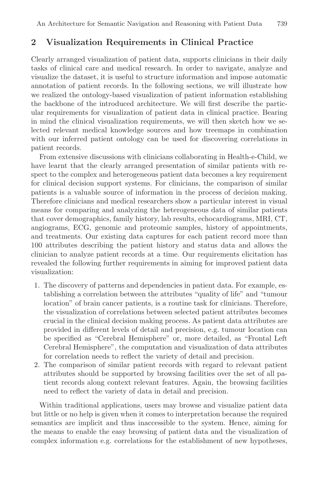### <span id="page-2-0"></span>**2 Visualization Requirements in Clinical Practice**

Clearly arranged visualization of patient data, supports clinicians in their daily tasks of clinical care and medical research. In order to navigate, analyze and visualize the dataset, it is useful to structure information and impose automatic annotation of patient records. In the following sections, we will illustrate how we realized the ontology-based visualization of patient information establishing the backbone of the introduced architecture. We will first describe the particular requirements for visualization of patient data in clinical practice. Bearing in mind the clinical visualization requirements, we will then sketch how we selected relevant medical knowledge sources and how treemaps in combination with our inferred patient ontology can be used for discovering correlations in patient records.

From extensive discussions with clinicians collaborating in Health-e-Child, we have learnt that the clearly arranged presentation of similar patients with respect to the complex and heterogeneous patient data becomes a key requirement for clinical decision support systems. For clinicians, the comparison of similar patients is a valuable source of information in the process of decision making. Therefore clinicians and medical researchers show a particular interest in visual means for comparing and analyzing the heterogeneous data of similar patients that cover demographics, family history, lab results, echocardiograms, MRI, CT, angiograms, ECG, genomic and proteomic samples, history of appointments, and treatments. Our existing data captures for each patient record more than 100 attributes describing the patient history and status data and allows the clinician to analyze patient records at a time. Our requirements elicitation has revealed the following further requirements in aiming for improved patient data visualization:

- 1. The discovery of patterns and dependencies in patient data. For example, establishing a correlation between the attributes "quality of life" and "tumour location" of brain cancer patients, is a routine task for clinicians. Therefore, the visualization of correlations between selected patient attributes becomes crucial in the clinical decision making process. As patient data attributes are provided in different levels of detail and precision, e.g. tumour location can be specified as "Cerebral Hemisphere" or, more detailed, as "Frontal Left Cerebral Hemisphere", the computation and visualization of data attributes for correlation needs to reflect the variety of detail and precision.
- 2. The comparison of similar patient records with regard to relevant patient attributes should be supported by browsing facilities over the set of all patient records along context relevant features. Again, the browsing facilities need to reflect the variety of data in detail and precision.

Within traditional applications, users may browse and visualize patient data but little or no help is given when it comes to interpretation because the required semantics are implicit and thus inaccessible to the system. Hence, aiming for the means to enable the easy browsing of patient data and the visualization of complex information e.g. correlations for the establishment of new hypotheses,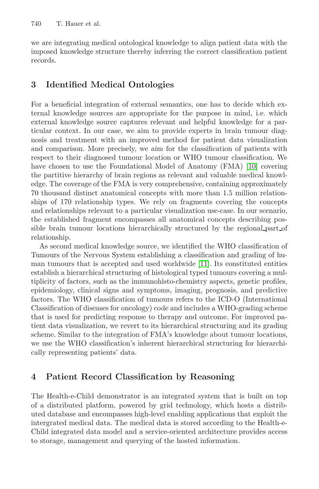<span id="page-3-0"></span>we are integrating medical ontological knowledge to align patient data with the imposed knowledge structure thereby inferring the correct classification patient records.

### **3 Identified Medical Ontologies**

For a beneficial integration of external semanti[cs,](#page-12-3) one has to decide which external knowledge sources are appropriate for the purpose in mind, i.e. which external knowledge source captures relevant and helpful knowledge for a particular context. In our case, we aim to provide experts in brain tumour diagnosis and treatment with an improved method for patient data visualization and comparison. More precisely, we aim for the classification of patients with respect to their diagnosed tumour location or WHO tumour classification. We have chosen to use the Foundational Model of Anatomy (FMA) [10] covering the partitive hierarchy of brain regions as relevant and valuable medical knowledge. The coverage of the FMA is very comprehensive, containing approximately 70 thousand distinct anatomical [con](#page-12-4)cepts with more than 1.5 million relationships of 170 relationship types. We rely on fragments covering the concepts and relationships relevant to a particular visualization use-case. In our scenario, the established fragment encompasses all anatomical concepts describing possible brain tumour locations hierarchically structured by the regional part of relationship.

<span id="page-3-1"></span>As second medical knowledge source, we identified the WHO classification of Tumours of the Nervous System establishing a classification and grading of human tumours that is accepted and used worldwide [11]. Its constituted entities establish a hierarchical structuring of histological typed tumours covering a multiplicity of factors, such as the immunohisto-chemistry aspects, genetic profiles, epidemiology, clinical signs and symptoms, imaging, prognosis, and predictive factors. The WHO classification of tumours refers to the ICD-O (International Classification of diseases for oncology) code and includes a WHO-grading scheme that is used for predicting response to therapy and outcome. For improved patient data visualization, we revert to its hierarchical structuring and its grading scheme. Similar to the integration of FMA's knowledge about tumour locations, we use the WHO classification's inherent hierarchical structuring for hierarchically representing patients' data.

### **4 Patient Record Classification by Reasoning**

The Health-e-Child demonstrator is an integrated system that is built on top of a distributed platform, powered by grid technology, which hosts a distributed database and encompasses high-level enabling applications that exploit the intergrated medical data. The medical data is stored according to the Health-e-Child integrated data model and a service-oriented architecture provides access to storage, management and querying of the hosted information.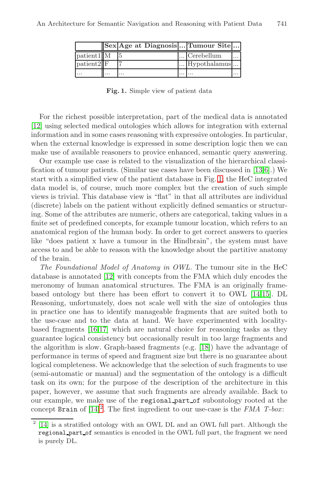|            | Sex Age at Diagnosis  Tumour Site |              |  |
|------------|-----------------------------------|--------------|--|
| patient1 M |                                   | Cerebellum   |  |
| patient2 F |                                   | Hypothalamus |  |
|            |                                   |              |  |

<span id="page-4-0"></span>An Architecture for Semantic Navigation and Reasoning with Patient Data 741

**Fig. 1.** Simple view of patient data

For the richest possible interpretati[on,](#page-4-0) part of the medical data is annotated [12] using selected medical ontologies which allows for integration with external information and in some cases reasoning with expressive ontologies. In particular, when the external knowledge is expressed in some description logic then we can make use of available reasoners to provice enhanced, semantic query answering.

Our example use case is related to the visualization of the hierarchical classification of tumour patients. (Similar use cases have been discussed in [13,6].) We start with a simplified view of the patient database in Fig. 1; the HeC integrated data model is, of course, much more complex but the creation of such simple views is trivial. This database view is "flat" in that all attributes are individual (dis[cre](#page-12-5)te) labels on the patient without explicitly defined semantics or structuring. Some of the attributes are numeric, others are categorical, taking values in a finite set of predefined concepts, for example tum[our](#page-12-6) [loc](#page-12-7)ation, which refers to an anatomical region of the human body. In order to get correct answers to queries like "does patient x have a tumour in the Hindbrain", the system must have access to and be able to reason with the knowledge about the partitive anatomy [of](#page-12-8) [the](#page-12-9) brain.

The Foundational Model of Anatomy in OWL. The tumour site in the HeC database is annotated [12] with c[onc](#page-12-10)epts from the FMA which duly encodes the meronomy of human anatomical structures. The FMA is an originally framebased ontology but there has been effort to convert it to OWL [14,15]. DL Reasoning, unfortunately, does not scale well with the size of ontologies thus in practice one has to identify manageable fragments that are suited both to the use-case and to the data at hand. We have experimented with localitybased fragments [16,17] which are natural choice for reasoning tasks as they [gu](#page-12-6)[a](#page-4-1)rantee logical consistency but occasionally result in too large fragments and the algorithm is slow. Graph-based fragments (e.g. [18]) have the advantage of performance in terms of speed and fragment size but there is no guarantee about logical completeness. We acknowledge that the selection of such fragments to use (semi-automatic or manual) and the segmentation of the ontology is a difficult task on its own; for the purpose of the description of the architecture in this paper, however, we assume that such fragments are already available. Back to our example, we make use of the regional part of subontology rooted at the concept Brain of  $[14]^2$ . The first ingredient to our use-case is the FMA T-box:

<span id="page-4-1"></span> $2 \left[14\right]$  is a stratified ontology with an OWL DL and an OWL full part. Although the regional part of semantics is encoded in the OWL full part, the fragment we need is purely DL.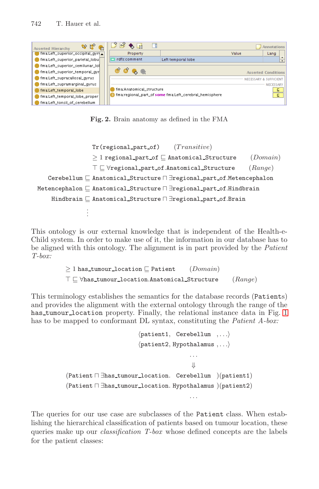

**Fig. 2.** Brain anatomy as defined in the FMA

```
Tr(regional-part_of) (Transitive)
                  \geq 1 regional part of \Box Anatomical Structure (Domain)
                  \top \sqsubseteq \forallregional part of.Anatomical Structure (Range)Cerebellum \sqsubseteq Anatomical Structure \sqcap ∃regional part of.Metencephalon
Metencephalon \subseteq Anatomical Structure \sqcap ∃regional part of.Hindbrain
    Hindbrain  Anatomical Structure  ∃regional part of.Brain
                .
                .
                .
```
This ontology is our external knowledge that is independent of the Health-e-Child system. In order to make use of it, the information in our database has to be aligned with this ontology. The alignment is in part pro[vid](#page-4-0)ed by the Patient T-box:

> $\geq 1$  has tumour location  $\subseteq$  Patient (Domain)  $\top \sqsubset \forall$ has\_tumour\_location.Anatomical\_Structure ( $Range$ )

This terminology establishes the semantics for the database records (Patients) and provides the alignment with the external ontology through the range of the has tumour location property. Finally, the relational instance data in Fig. 1 has to be mapped to conformant DL syntax, constituting the *Patient A-box:* 

```
\langle patient1, Cerebellum ,...\rangle\langle patient2, Hypothalamus , ...\rangle...
                                            ⇓
(Patient  ∃has tumour location. Cerebellum )(patient1)
(Patient  ∃has tumour location. Hypothalamus )(patient2)
```
...

The queries for our use case are subclasses of the Patient class. When establishing the hierarchical classification of patients based on tumour location, these queries make up our classification T-box whose defined concepts are the labels for the patient classes: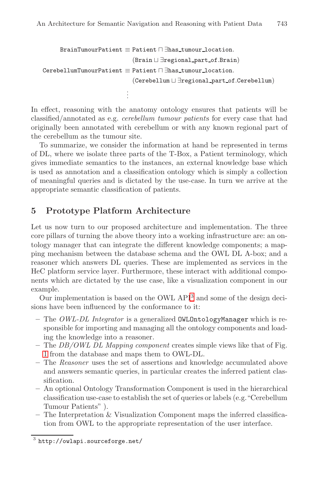```
\mathtt{BrainTumourPatternt} \equiv \mathtt{Patternt} \sqcap \exists \mathtt{has\_tumour\_location}.(Brain  ∃regional part of.Brain)
CerebellumTumourPatient ≡ Patient  ∃has tumour location.
                                  (Cerebellum  ∃regional part of.Cerebellum)
                                .
                                .
                                .
```
In effect, reasoning with the anatomy ontology ensures that patients will be classified/annotated as e.g. cerebellum tumour patients for every case that had originally been annotated with cerebellum or with any known regional part of the cerebellum as the tumour site.

<span id="page-6-0"></span>To summarize, we consider the information at hand be represented in terms of DL, where we isolate three parts of the T-Box, a Patient terminology, which gives immediate semantics to the instances, an external knowledge base which is used as annotation and a classification ontology which is simply a collection of meaningful queries and is dictated by the use-case. In turn we arrive at the appropriate semantic classification of patients.

## **5 Prototype Platform Architecture**

Let us now turn to our prop[ose](#page-6-1)d architecture and implementation. The three core pillars of turning the above theory into a working infrastructure are: an ontology manager that can integrate the different knowledge components; a mapping mechanism between the database schema and the OWL DL A-box; and a reasoner which answers DL queries. These are implemented as services in the HeC platform service layer. Furthermore, these interact with additional components which are dictated by the use case, like a visualization component in our example.

Our implementation is based on the OWL  $API<sup>3</sup>$  and some of the design decisions have been influenced by the conformance to it:

- **–** The OWL-DL Integrator is a generalized OWLOntologyManager which is responsible for importing and managing all the ontology components and loading the knowledge into a reasoner.
- **–** The DB/OWL DL Mapping component creates simple views like that of Fig. 1 from the database and maps them to OWL-DL.
- **–** The Reasoner uses the set of assertions and knowledge accumulated above and answers semantic queries, in particular creates the inferred patient classification.
- <span id="page-6-1"></span>**–** An optional Ontology Transformation Component is used in the hierarchical classification use-case to establish the set of queries or labels (e.g."Cerebellum Tumour Patients" ).
- **–** The Interpretation & Visualization Component maps the inferred classification from OWL to the appropriate representation of the user interface.

<sup>3</sup> http://owlapi.sourceforge.net/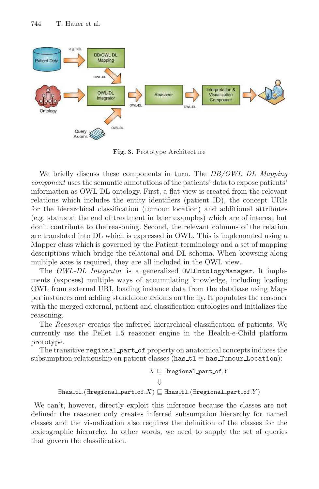

**Fig. 3.** Prototype Architecture

We briefly discuss these components in turn. The DB/OWL DL Mapping component uses the semantic annotations of the patients' data to expose patients' information as OWL DL ontology. First, a flat view is created from the relevant relations which includes the entity identifiers (patient ID), the concept URIs for the hierarchical classification (tumour location) and additional attributes (e.g. status at the end of treatment in later examples) which are of interest but don't contribute to the reasoning. Second, the relevant columns of the relation are translated into DL which is expressed in OWL. This is implemented using a Mapper class which is governed by the Patient terminology and a set of mapping descriptions which bridge the relational and DL schema. When browsing along multiple axes is required, they are all included in the OWL view.

The *OWL-DL Integrator* is a generalized **OWLOntologyManager**. It implements (exposes) multiple ways of accumulating knowledge, including loading OWL from external URI, loading instance data from the database using Mapper instances and adding standalone axioms on the fly. It populates the reasoner with the merged external, patient and classification ontologies and initializes the reasoning.

The Reasoner creates the inferred hierarchical classification of patients. We currently use the Pellet 1.5 reasoner engine in the Health-e-Child platform prototype.

The transitive regional part of property on anatomical concepts induces the subsumption relationship on patient classes (has  $t \equiv$  has Tumour Location):

$$
X \sqsubseteq \exists \mathtt{regional\_part\_of}. Y
$$
  

$$
\Downarrow
$$
  

$$
\exists \mathtt{has\_tl}.(\exists \mathtt{regional\_part\_of}. Y)
$$

We can't, however, directly exploit this inference because the classes are not defined: the reasoner only creates inferred subsumption hierarchy for named classes and the visualization also requires the definition of the classes for the lexicographic hierarchy. In other words, we need to supply the set of queries that govern the classification.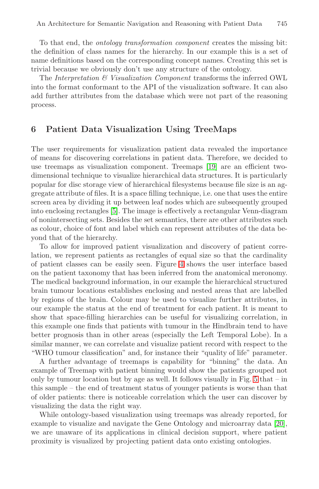<span id="page-8-0"></span>To that end, the ontology transformation component creates the missing bit: the definition of class names for the hierarchy. In our example this is a set of name definitions based on the corresponding concept names. Creating this set is trivial because we obviously don't use any structure of the ontology.

The Interpretation & Visualization Component transforms the inferred OWL into the format conformant to the API of the visualization software. It can also add further attributes from the da[taba](#page-12-11)se which were not part of the reasoning process.

### **6 Patient Data Visualization Using TreeMaps**

The [use](#page-12-12)r requirements for visualization patient data revealed the importance of means for discovering correlations in patient data. Therefore, we decided to use treemaps as visualization component. Treemaps [19] are an efficient twodimensional technique to visualize hierarchical data structures. It is particularly popular for disc storage view of hierarchical filesystems because file size is an aggregate attribute of files. It [is](#page-9-0) a space filling technique, i.e. one that uses the entire screen area by dividing it up between leaf nodes which are subsequently grouped into enclosing rectangles [5]. The image is effectively a rectangular Venn-diagram of nonintersecting sets. Besides the set semantics, there are other attributes such as colour, choice of font and label which can represent attributes of the data beyond that of the hierarchy.

To allow for improved patient visualization and discovery of patient correlation, we represent patients as rectangles of equal size so that the cardinality of patient classes can be easily seen. Figure 4 shows the user interface based on the patient taxonomy that has been inferred from the anatomical meronomy. The medical background information, in our example the hierarchical structured brain tumour locations establishes enclosing and nested areas that are labelled by regions of the brain. Colour may be used to visualize further attributes, in our example the status at the end of treatment f[or](#page-9-1) each patient. It is meant to show that space-filling hierarchies can be useful for visualizing correlation, in this example one finds that patients with tumour in the Hindbrain tend to have better prognosis than in other areas (especially the Left Temporal Lobe). In a similar manner, we can correlate and visualize patient record with respect to the "WHO tumour classification" and, for instance their "qu[alit](#page-12-13)y of life" parameter.

A further advantage of treemaps is capability for "binning" the data. An example of Treemap with patient binning would show the patients grouped not only by tumour location but by age as well. It follows visually in Fig. 5 that – in this sample – the end of treatment status of younger patients is worse than that of older patients: there is noticeable correlation which the user can discover by visualizing the data the right way.

While ontology-based visualization using treemaps was already reported, for example to visualize and navigate the Gene Ontology and microarray data [20], we are unaware of its applications in clinical decision support, where patient proximity is visualized by projecting patient data onto existing ontologies.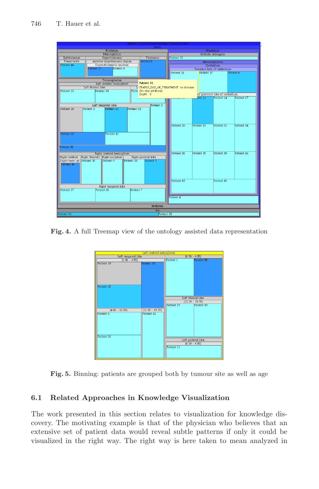

<span id="page-9-0"></span>**Fig. 4.** A full Treemap view of the ontology assisted data representation



**Fig. 5.** Binning: patients are grouped both by tumour site as well as age

#### <span id="page-9-1"></span>**6.1 Related Approaches in Knowledge Visualization**

The work presented in this section relates to visualization for knowledge discovery. The motivating example is that of the physician who believes that an extensive set of patient data would reveal subtle patterns if only it could be visualized in the right way. The right way is here taken to mean analyzed in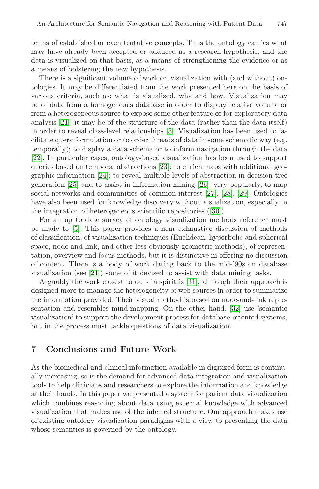terms of established or even tentative concepts. Thus the ontology carries what may have already been accepted or adduced as a research hypothesis, and the data is visualized on t[hat](#page-11-0) basis, as a means of strengthening the evidence or as a means of bolstering the new hypothesis.

There is a significant volume of work on visualization with (and without) ontologies. It may be differentiated from the work presented here on the basis of various criteria, suc[h as](#page-13-1): what is visualized, why and how. Visualization may b[e of](#page-13-2) data from a homogeneous database in order to display relative volume or from a heterogeneous source to e[xpos](#page-13-3)e some other feature or for exploratory data analysis [21]; it may be of the struc[tur](#page-13-4)e [of t](#page-13-5)h[e da](#page-13-6)ta (rather than the data itself) in order to reveal class-level relationships [3]. Visualization has been used to facilitate query formulation or to order [thr](#page-13-7)eads of data in some schematic way (e.g. temporally); to display a data schema or to inform navigation through the data [22]. In particular cases, ontology-based visualization has been used to support queries based on temporal abstractions [23]; to enrich maps with additional geographic information [24]; to reveal multiple levels of abstraction in decision-tree generation [25] and to assist in information mining [26]; very popularly, to map social networks and communities of common interest [27], [28], [29]. Ontologies [ha](#page-12-14)ve also been used for knowledge discovery without visualization, especially in the integration of heterogene[ous](#page-13-8) scientific repositories ([30]).

For an up to date survey of ontology visualization methods reference must be made to [5]. This paper provides a near exhaustive discussion of methods of classification, of visualization techniques [\(Eu](#page-13-9)clidean, hyperbolic and spherical space, node-and-link, and other less obviously geometric methods), of representation, overview and focus methods, but it is distinctive in offering no discussion of content. There is a body of work dating back to the mid-'90s on database visualization (see [21]) some of it devised to assist with data mining tasks.

Arguably the work closest to ours in spirit is [31], although their approach is designed more to manage the heterogeneity of web sources in order to summarize the information provided. Their visual method is based on node-and-link representation and resembles mind-mapping. On the other hand, [32] use 'semantic visualization' to support the development process for database-oriented systems, but in the process must tackle questions of data visualization.

# **7 Conclusions and Future Work**

As the biomedical and clinical information available in digitized form is continually increasing, so is the demand for advanced data integration and visualization tools to help clinicians and researchers to explore the information and knowledge at their hands. In this paper we presented a system for patient data visualization which combines reasoning about data using external knowledge with advanced visualization that makes use of the inferred structure. Our approach makes use of existing ontology visualization paradigms with a view to presenting the data whose semantics is governed by the ontology.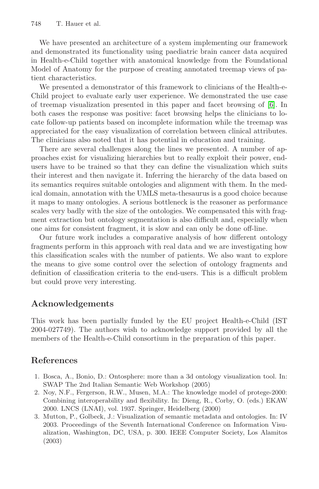We have presented an architecture of a system imp[lem](#page-12-15)enting our framework and demonstrated its functionality using paediatric brain cancer data acquired in Health-e-Child together with anatomical knowledge from the Foundational Model of Anatomy for the purpose of creating annotated treemap views of patient characteristics.

We presented a demonstrator of this framework to clinicians of the Health-e-Child project to evaluate early user experience. We demonstrated the use case of treemap visualization presented in this paper and facet browsing of [6]. In both cases the response was positive: facet browsing helps the clinicians to locate follow-up patients based on incomplete information while the treemap was appreciated for the easy visualization of correlation between clinical attributes. The clinicians also noted that it has potential in education and training.

There are several challenges along the lines we presented. A number of approaches exist for visualizing hierarchies but to really exploit their power, endusers have to be trained so that they can define the visualization which suits their interest and then navigate it. Inferring the hierarchy of the data based on its semantics requires suitable ontologies and alignment with them. In the medical domain, annotation with the UMLS meta-thesaurus is a good choice because it maps to many ontologies. A serious bottleneck is the reasoner as performance scales very badly with the size of the ontologies. We compensated this with fragment extraction but ontology segmentation is also difficult and, especially when one aims for consistent fragment, it is slow and can only be done off-line.

Our future work includes a comparative analysis of how different ontology fragments perform in this approach with real data and we are investigating how this classification scales with the number of patients. We also want to explore the means to give some control over the selection of ontology fragments and definition of classification criteria to the end-users. This is a difficult problem but could prove very interesting.

#### **Acknowledgements**

This work has been partially funded by the EU project Health-e-Child (IST 2004-027749). The authors wish to acknowledge support provided by all the members of the Health-e-Child consortium in the preparation of this paper.

#### <span id="page-11-0"></span>**References**

- 1. Bosca, A., Bonio, D.: Ontosphere: more than a 3d ontology visualization tool. In: SWAP The 2nd Italian Semantic Web Workshop (2005)
- 2. Noy, N.F., Fergerson, R.W., Musen, M.A.: The knowledge model of protege-2000: Combining interoperability and flexibility. In: Dieng, R., Corby, O. (eds.) EKAW 2000. LNCS (LNAI), vol. 1937. Springer, Heidelberg (2000)
- 3. Mutton, P., Golbeck, J.: Visualization of semantic metadata and ontologies. In: IV 2003. Proceedings of the Seventh International Conference on Information Visualization, Washington, DC, USA, p. 300. IEEE Computer Society, Los Alamitos (2003)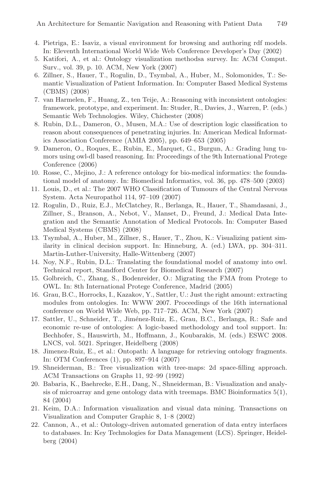- 4. Pietriga, E.: Isaviz, a visual environment for browsing and authoring rdf models. In: Eleventh International World Wide Web Conference Developer's Day (2002)
- <span id="page-12-12"></span>5. Katifori, A., et al.: Ontology visualization methodsa survey. In: ACM Comput. Surv., vol. 39, p. 10. ACM, New York (2007)
- <span id="page-12-15"></span>6. Zillner, S., Hauer, T., Rogulin, D., Tsymbal, A., Huber, M., Solomonides, T.: Semantic Visualization of Patient Information. In: Computer Based Medical Systems (CBMS) (2008)
- <span id="page-12-0"></span>7. van Harmelen, F., Huang, Z., ten Teije, A.: Reasoning with inconsistent ontologies: framework, prototype, and experiment. In: Studer, R., Davies, J., Warren, P. (eds.) Semantic Web Technologies. Wiley, Chichester (2008)
- <span id="page-12-1"></span>8. Rubin, D.L., Dameron, O., Musen, M.A.: Use of description logic classification to reason about consequences of penetrating injuries. In: American Medical Informatics Association Conference (AMIA 2005), pp. 649–653 (2005)
- <span id="page-12-2"></span>9. Dameron, O., Roques, E., Rubin, E., Marquet, G., Burgun, A.: Grading lung tumors using owl-dl based reasoning. In: Proceedings of the 9th International Protege Conference (2006)
- <span id="page-12-3"></span>10. Rosse, C., Mejino, J.: A reference ontology for bio-medical informatics: the foundational model of anatomy. In: Biomedical Informatics, vol. 36, pp. 478–500 (2003)
- <span id="page-12-4"></span>11. Louis, D., et al.: The 2007 WHO Classification of Tumours of the Central Nervous System. Acta Neuropathol 114, 97–109 (2007)
- <span id="page-12-5"></span>12. Rogulin, D., Ruiz, E.J., McClatchey, R., Berlanga, R., Hauer, T., Shamdasani, J., Zillner, S., Branson, A., Nebot, V., Manset, D., Freund, J.: Medical Data Integration and the Semantic Annotation of Medical Protocols. In: Computer Based Medical Systems (CBMS) (2008)
- 13. Tsymbal, A., Huber, M., Zillner, S., Hauer, T., Zhou, K.: Visualizing patient similarity in clinical decision support. In: Hinneburg, A. (ed.) LWA, pp. 304–311. Martin-Luther-University, Halle-Wittenberg (2007)
- <span id="page-12-6"></span>14. Noy, N.F., Rubin, D.L.: Translating the foundational model of anatomy into owl. Technical report, Standford Center for Biomedical Research (2007)
- <span id="page-12-7"></span>15. Golbreich, C., Zhang, S., Bodenreider, O.: Migrating the FMA from Protege to OWL. In: 8th International Protege Conference, Madrid (2005)
- <span id="page-12-8"></span>16. Grau, B.C., Horrocks, I., Kazakov, Y., Sattler, U.: Just the right amount: extracting modules from ontologies. In: WWW 2007. Proceedings of the 16th international conference on World Wide Web, pp. 717–726. ACM, New York (2007)
- <span id="page-12-9"></span>17. Sattler, U., Schneider, T., Jiménez-Ruiz, E., Grau, B.C., Berlanga, R.: Safe and economic re-use of ontologies: A logic-based methodology and tool support. In: Bechhofer, S., Hauswirth, M., Hoffmann, J., Koubarakis, M. (eds.) ESWC 2008. LNCS, vol. 5021. Springer, Heidelberg (2008)
- <span id="page-12-10"></span>18. Jimenez-Ruiz, E., et al.: Ontopath: A language for retrieving ontology fragments. In: OTM Conferences (1), pp. 897–914 (2007)
- <span id="page-12-11"></span>19. Shneiderman, B.: Tree visualization with tree-maps: 2d space-filling approach. ACM Transactions on Graphs 11, 92–99 (1992)
- <span id="page-12-13"></span>20. Babaria, K., Baehrecke, E.H., Dang, N., Shneiderman, B.: Visualization and analysis of microarray and gene ontology data with treemaps. BMC Bioinformatics  $5(1)$ , 84 (2004)
- <span id="page-12-14"></span>21. Keim, D.A.: Information visualization and visual data mining. Transactions on Visualization and Computer Graphic 8, 1–8 (2002)
- 22. Cannon, A., et al.: Ontology-driven automated generation of data entry interfaces to databases. In: Key Technologies for Data Management (LCS). Springer, Heidelberg (2004)